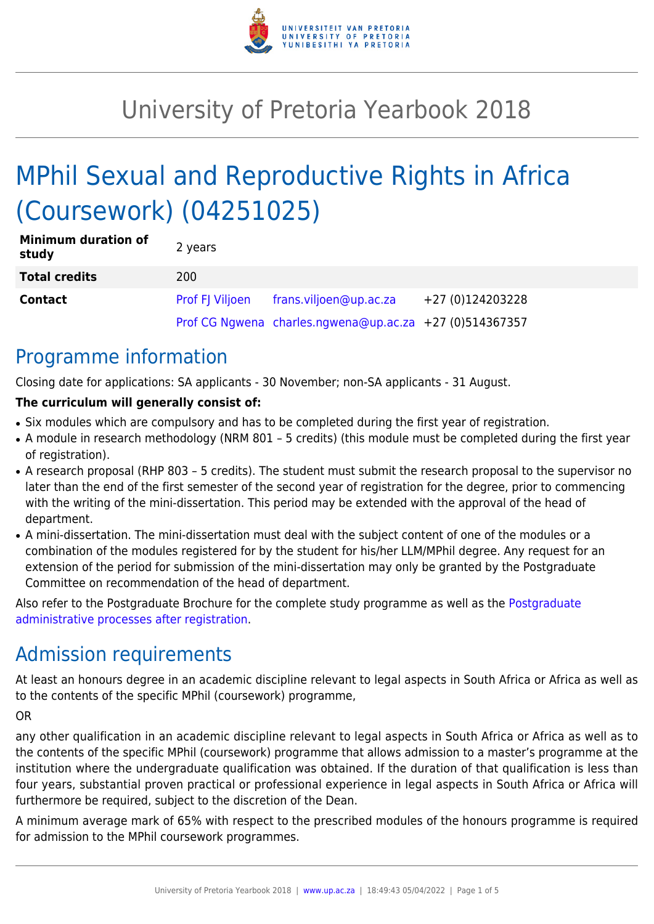

# University of Pretoria Yearbook 2018

# MPhil Sexual and Reproductive Rights in Africa (Coursework) (04251025)

| <b>Minimum duration of</b><br>study | 2 years                |                                                         |                  |
|-------------------------------------|------------------------|---------------------------------------------------------|------------------|
| <b>Total credits</b>                | 200                    |                                                         |                  |
| <b>Contact</b>                      | <b>Prof FJ Viljoen</b> | frans.viljoen@up.ac.za                                  | +27 (0)124203228 |
|                                     |                        | Prof CG Ngwena charles.ngwena@up.ac.za +27 (0)514367357 |                  |

### Programme information

Closing date for applications: SA applicants - 30 November; non-SA applicants - 31 August.

#### **The curriculum will generally consist of:**

- Six modules which are compulsory and has to be completed during the first year of registration.
- A module in research methodology (NRM 801 5 credits) (this module must be completed during the first year of registration).
- A research proposal (RHP 803 5 credits). The student must submit the research proposal to the supervisor no later than the end of the first semester of the second year of registration for the degree, prior to commencing with the writing of the mini-dissertation. This period may be extended with the approval of the head of department.
- A mini-dissertation. The mini-dissertation must deal with the subject content of one of the modules or a combination of the modules registered for by the student for his/her LLM/MPhil degree. Any request for an extension of the period for submission of the mini-dissertation may only be granted by the Postgraduate Committee on recommendation of the head of department.

Also refer to the Postgraduate Brochure for the complete study programme as well as the [Postgraduate](http://www.up.ac.za/media/shared/10/ZP_Files/post-graduate-administrative-processes-brochures-for-the-faculty-web.zp124870.pdf) [administrative processes after registration.](http://www.up.ac.za/media/shared/10/ZP_Files/post-graduate-administrative-processes-brochures-for-the-faculty-web.zp124870.pdf)

## Admission requirements

At least an honours degree in an academic discipline relevant to legal aspects in South Africa or Africa as well as to the contents of the specific MPhil (coursework) programme,

OR

any other qualification in an academic discipline relevant to legal aspects in South Africa or Africa as well as to the contents of the specific MPhil (coursework) programme that allows admission to a master's programme at the institution where the undergraduate qualification was obtained. If the duration of that qualification is less than four years, substantial proven practical or professional experience in legal aspects in South Africa or Africa will furthermore be required, subject to the discretion of the Dean.

A minimum average mark of 65% with respect to the prescribed modules of the honours programme is required for admission to the MPhil coursework programmes.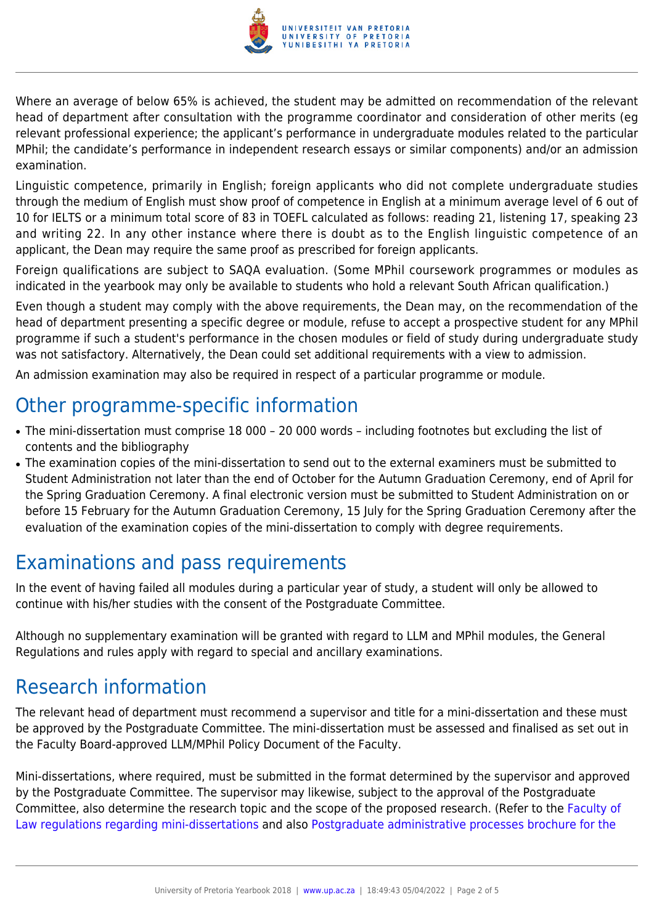

Where an average of below 65% is achieved, the student may be admitted on recommendation of the relevant head of department after consultation with the programme coordinator and consideration of other merits (eg relevant professional experience; the applicant's performance in undergraduate modules related to the particular MPhil; the candidate's performance in independent research essays or similar components) and/or an admission examination.

Linguistic competence, primarily in English; foreign applicants who did not complete undergraduate studies through the medium of English must show proof of competence in English at a minimum average level of 6 out of 10 for IELTS or a minimum total score of 83 in TOEFL calculated as follows: reading 21, listening 17, speaking 23 and writing 22. In any other instance where there is doubt as to the English linguistic competence of an applicant, the Dean may require the same proof as prescribed for foreign applicants.

Foreign qualifications are subject to SAQA evaluation. (Some MPhil coursework programmes or modules as indicated in the yearbook may only be available to students who hold a relevant South African qualification.)

Even though a student may comply with the above requirements, the Dean may, on the recommendation of the head of department presenting a specific degree or module, refuse to accept a prospective student for any MPhil programme if such a student's performance in the chosen modules or field of study during undergraduate study was not satisfactory. Alternatively, the Dean could set additional requirements with a view to admission.

An admission examination may also be required in respect of a particular programme or module.

### Other programme-specific information

- The mini-dissertation must comprise 18 000 20 000 words including footnotes but excluding the list of contents and the bibliography
- The examination copies of the mini-dissertation to send out to the external examiners must be submitted to Student Administration not later than the end of October for the Autumn Graduation Ceremony, end of April for the Spring Graduation Ceremony. A final electronic version must be submitted to Student Administration on or before 15 February for the Autumn Graduation Ceremony, 15 July for the Spring Graduation Ceremony after the evaluation of the examination copies of the mini-dissertation to comply with degree requirements.

### Examinations and pass requirements

In the event of having failed all modules during a particular year of study, a student will only be allowed to continue with his/her studies with the consent of the Postgraduate Committee.

Although no supplementary examination will be granted with regard to LLM and MPhil modules, the General Regulations and rules apply with regard to special and ancillary examinations.

### Research information

The relevant head of department must recommend a supervisor and title for a mini-dissertation and these must be approved by the Postgraduate Committee. The mini-dissertation must be assessed and finalised as set out in the Faculty Board-approved LLM/MPhil Policy Document of the Faculty.

Mini-dissertations, where required, must be submitted in the format determined by the supervisor and approved by the Postgraduate Committee. The supervisor may likewise, subject to the approval of the Postgraduate Committee, also determine the research topic and the scope of the proposed research. (Refer to the [Faculty of](http://www.up.ac.za/media/shared/10/ZP_Files/faculty-regulations-for-the-mini-dissertation.zp124872.pdf) [Law regulations regarding mini-dissertations](http://www.up.ac.za/media/shared/10/ZP_Files/faculty-regulations-for-the-mini-dissertation.zp124872.pdf) and also [Postgraduate administrative processes brochure for the](http://www.up.ac.za/media/shared/10/ZP_Files/post-graduate-administrative-processes-brochures-for-the-faculty-web.zp124870.pdf)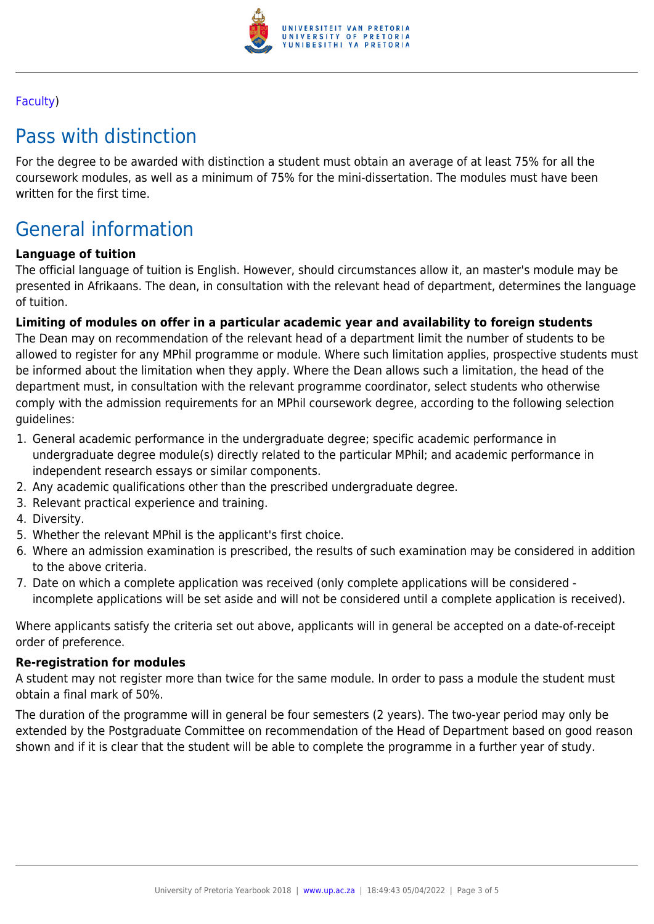

#### [Faculty](http://www.up.ac.za/media/shared/10/ZP_Files/post-graduate-administrative-processes-brochures-for-the-faculty-web.zp124870.pdf))

### Pass with distinction

For the degree to be awarded with distinction a student must obtain an average of at least 75% for all the coursework modules, as well as a minimum of 75% for the mini-dissertation. The modules must have been written for the first time.

## General information

#### **Language of tuition**

The official language of tuition is English. However, should circumstances allow it, an master's module may be presented in Afrikaans. The dean, in consultation with the relevant head of department, determines the language of tuition.

#### **Limiting of modules on offer in a particular academic year and availability to foreign students**

The Dean may on recommendation of the relevant head of a department limit the number of students to be allowed to register for any MPhil programme or module. Where such limitation applies, prospective students must be informed about the limitation when they apply. Where the Dean allows such a limitation, the head of the department must, in consultation with the relevant programme coordinator, select students who otherwise comply with the admission requirements for an MPhil coursework degree, according to the following selection guidelines:

- 1. General academic performance in the undergraduate degree; specific academic performance in undergraduate degree module(s) directly related to the particular MPhil; and academic performance in independent research essays or similar components.
- 2. Any academic qualifications other than the prescribed undergraduate degree.
- 3. Relevant practical experience and training.
- 4. Diversity.
- 5. Whether the relevant MPhil is the applicant's first choice.
- 6. Where an admission examination is prescribed, the results of such examination may be considered in addition to the above criteria.
- 7. Date on which a complete application was received (only complete applications will be considered incomplete applications will be set aside and will not be considered until a complete application is received).

Where applicants satisfy the criteria set out above, applicants will in general be accepted on a date-of-receipt order of preference.

#### **Re-registration for modules**

A student may not register more than twice for the same module. In order to pass a module the student must obtain a final mark of 50%.

The duration of the programme will in general be four semesters (2 years). The two-year period may only be extended by the Postgraduate Committee on recommendation of the Head of Department based on good reason shown and if it is clear that the student will be able to complete the programme in a further year of study.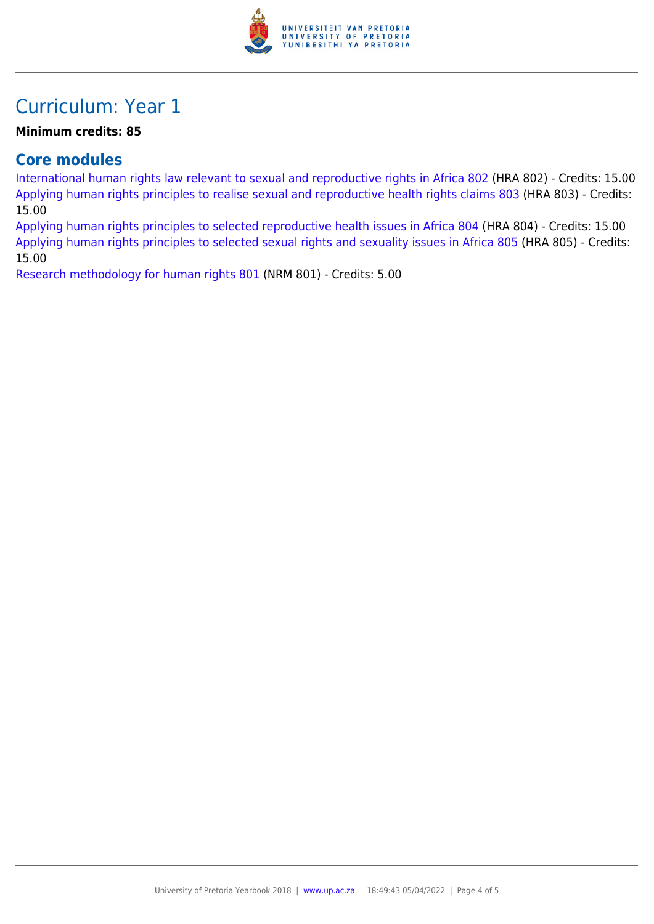

### Curriculum: Year 1

#### **Minimum credits: 85**

#### **Core modules**

[International human rights law relevant to sexual and reproductive rights in Africa 802](https://www.up.ac.za/yearbooks/2018/modules/view/HRA 802) (HRA 802) - Credits: 15.00 [Applying human rights principles to realise sexual and reproductive health rights claims 803](https://www.up.ac.za/yearbooks/2018/modules/view/HRA 803) (HRA 803) - Credits: 15.00

[Applying human rights principles to selected reproductive health issues in Africa 804](https://www.up.ac.za/yearbooks/2018/modules/view/HRA 804) (HRA 804) - Credits: 15.00 [Applying human rights principles to selected sexual rights and sexuality issues in Africa 805](https://www.up.ac.za/yearbooks/2018/modules/view/HRA 805) (HRA 805) - Credits: 15.00

[Research methodology for human rights 801](https://www.up.ac.za/yearbooks/2018/modules/view/NRM 801) (NRM 801) - Credits: 5.00